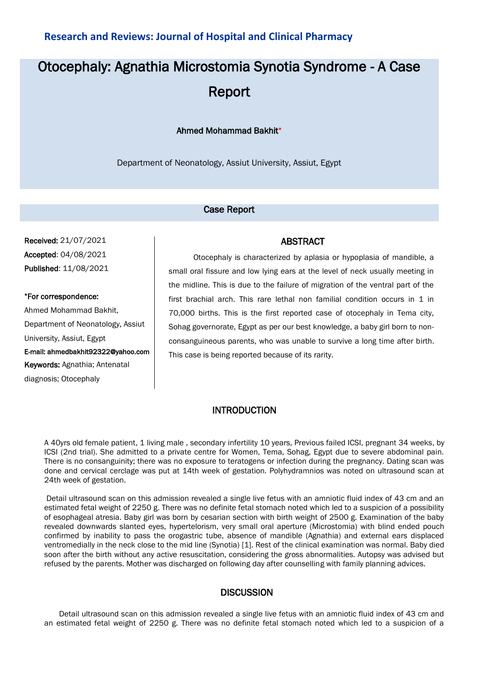## **Research and Reviews: Journal of Hospital and Clinical Pharmacy**

# Otocephaly: Agnathia Microstomia Synotia Syndrome - A Case Report

#### Ahmed Mohammad Bakhit\*

Department of Neonatology, Assiut University, Assiut, Egypt

#### Case Report

Received: 21/07/2021 Accepted: 04/08/2021 Published: 11/08/2021

\*For correspondence: Ahmed Mohammad Bakhit, Department of Neonatology, Assiut University, Assiut, Egypt E-mail: ahmedbakhit92322@yahoo.com Keywords: Agnathia; Antenatal diagnosis; Otocephaly

 Otocephaly is characterized by aplasia or hypoplasia of mandible, a small oral fissure and low lying ears at the level of neck usually meeting in the midline. This is due to the failure of migration of the ventral part of the first brachial arch. This rare lethal non familial condition occurs in 1 in 70,000 births. This is the first reported case of otocephaly in Tema city, Sohag governorate, Egypt as per our best knowledge, a baby girl born to nonconsanguineous parents, who was unable to survive a long time after birth. This case is being reported because of its rarity.

ABSTRACT

### INTRODUCTION

A 40yrs old female patient, 1 living male , secondary infertility 10 years, Previous failed ICSI, pregnant 34 weeks, by ICSI (2nd trial). She admitted to a private centre for Women, Tema, Sohag, Egypt due to severe abdominal pain. There is no consanguinity; there was no exposure to teratogens or infection during the pregnancy. Dating scan was done and cervical cerclage was put at 14th week of gestation. Polyhydramnios was noted on ultrasound scan at 24th week of gestation.

Detail ultrasound scan on this admission revealed a single live fetus with an amniotic fluid index of 43 cm and an estimated fetal weight of 2250 g. There was no definite fetal stomach noted which led to a suspicion of a possibility of esophageal atresia. Baby girl was born by cesarian section with birth weight of 2500 g. Examination of the baby revealed downwards slanted eyes, hypertelorism, very small oral aperture (Microstomia) with blind ended pouch confirmed by inability to pass the orogastric tube, absence of mandible (Agnathia) and external ears displaced ventromedially in the neck close to the mid line (Synotia) [1]. Rest of the clinical examination was normal. Baby died soon after the birth without any active resuscitation, considering the gross abnormalities. Autopsy was advised but refused by the parents. Mother was discharged on following day after counselling with family planning advices.

#### **DISCUSSION**

Detail ultrasound scan on this admission revealed a single live fetus with an amniotic fluid index of 43 cm and an estimated fetal weight of 2250 g. There was no definite fetal stomach noted which led to a suspicion of a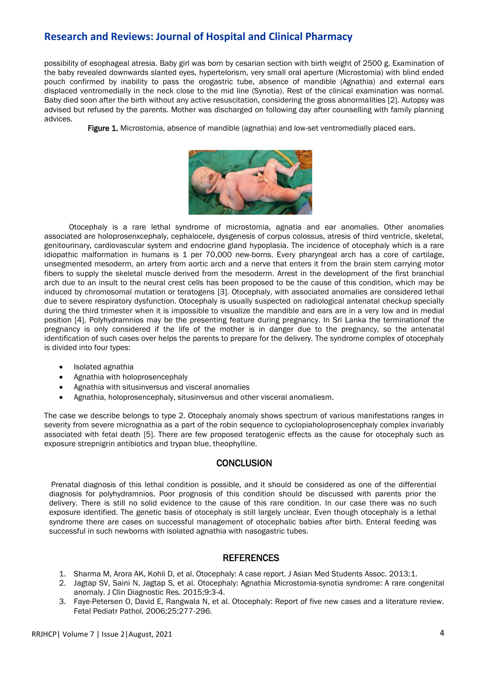# **Research and Reviews: Journal of Hospital and Clinical Pharmacy**

possibility of esophageal atresia. Baby girl was born by cesarian section with birth weight of 2500 g. Examination of the baby revealed downwards slanted eyes, hypertelorism, very small oral aperture (Microstomia) with blind ended pouch confirmed by inability to pass the orogastric tube, absence of mandible (Agnathia) and external ears displaced ventromedially in the neck close to the mid line (Synotia). Rest of the clinical examination was normal. Baby died soon after the birth without any active resuscitation, considering the gross abnormalities [2]. Autopsy was advised but refused by the parents. Mother was discharged on following day after counselling with family planning advices.

Figure 1. Microstomia, absence of mandible (agnathia) and low-set ventromedially placed ears.



 Otocephaly is a rare lethal syndrome of microstomia, agnatia and ear anomalies. Other anomalies associated are holoprosenxcephaly, cephalocele, dysgenesis of corpus colossus, atresis of third ventricle, skeletal, genitourinary, cardiovascular system and endocrine gland hypoplasia. The incidence of otocephaly which is a rare idiopathic malformation in humans is 1 per 70,000 new-borns. Every pharyngeal arch has a core of cartilage, unsegmented mesoderm, an artery from aortic arch and a nerve that enters it from the brain stem carrying motor fibers to supply the skeletal muscle derived from the mesoderm. Arrest in the development of the first branchial arch due to an insult to the neural crest cells has been proposed to be the cause of this condition, which may be induced by chromosomal mutation or teratogens [3]. Otocephaly, with associated anomalies are considered lethal due to severe respiratory dysfunction. Otocephaly is usually suspected on radiological antenatal checkup specially during the third trimester when it is impossible to visualize the mandible and ears are in a very low and in medial position [4]. Polyhydramnios may be the presenting feature during pregnancy. In Sri Lanka the terminationof the pregnancy is only considered if the life of the mother is in danger due to the pregnancy, so the antenatal identification of such cases over helps the parents to prepare for the delivery. The syndrome complex of otocephaly is divided into four types:

- Isolated agnathia
- Agnathia with holoprosencephaly
- Agnathia with situsinversus and visceral anomalies
- Agnathia, holoprosencephaly, situsinversus and other visceral anomaliesm.

The case we describe belongs to type 2. Otocephaly anomaly shows spectrum of various manifestations ranges in severity from severe micrognathia as a part of the robin sequence to cyclopiaholoprosencephaly complex invariably associated with fetal death [5]. There are few proposed teratogenic effects as the cause for otocephaly such as exposure strepnigrin antibiotics and trypan blue, theophylline.

#### **CONCLUSION**

Prenatal diagnosis of this lethal condition is possible, and it should be considered as one of the differential diagnosis for polyhydramnios. Poor prognosis of this condition should be discussed with parents prior the delivery. There is still no solid evidence to the cause of this rare condition. In our case there was no such exposure identified. The genetic basis of otocephaly is still largely unclear. Even though otocephaly is a lethal syndrome there are cases on successful management of otocephalic babies after birth. Enteral feeding was successful in such newborns with isolated agnathia with nasogastric tubes.

#### **REFERENCES**

- 1. Sharma M, Arora AK, Kohli D, et al. Otocephaly: A case report. J Asian Med Students Assoc. 2013;1.
- 2. [Jagtap SV, Saini N, Jagtap S, et al. Otocephaly: Agnathia Microstomia-synotia syndrome: A rare congenital](https://dx.doi.org/10.7860%2FJCDR%2F2015%2F13636.6444)  [anomaly. J Clin Diagnostic Res. 2015;9:3-4.](https://dx.doi.org/10.7860%2FJCDR%2F2015%2F13636.6444)
- 3. [Faye-Petersen O, David E, Rangwala N, et al. Otocephaly: Report of five new cases and a literature review.](https://doi.org/10.1080/15513810601123417)  [Fetal Pediatr Pathol. 2006;25:277-296.](https://doi.org/10.1080/15513810601123417)